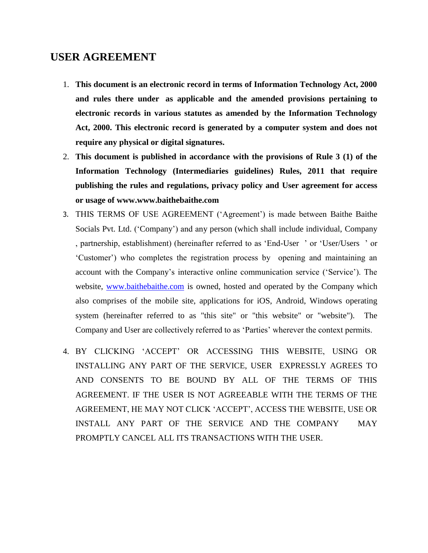# **USER AGREEMENT**

- 1. **This document is an electronic record in terms of Information Technology Act, 2000 and rules there under as applicable and the amended provisions pertaining to electronic records in various statutes as amended by the Information Technology Act, 2000. This electronic record is generated by a computer system and does not require any physical or digital signatures.**
- 2. **This document is published in accordance with the provisions of Rule 3 (1) of the Information Technology (Intermediaries guidelines) Rules, 2011 that require publishing the rules and regulations, privacy policy and User agreement for access or usage of www.www.baithebaithe.com**
- 3. THIS TERMS OF USE AGREEMENT ('Agreement') is made between Baithe Baithe Socials Pvt. Ltd. ('Company') and any person (which shall include individual, Company , partnership, establishment) (hereinafter referred to as 'End-User ' or 'User/Users ' or 'Customer') who completes the registration process by opening and maintaining an account with the Company's interactive online communication service ('Service'). The website, [www.baithebaithe.com](http://www.baithebaithe.com/) is owned, hosted and operated by the Company which also comprises of the mobile site, applications for iOS, Android, Windows operating system (hereinafter referred to as "this site" or "this website" or "website"). The Company and User are collectively referred to as 'Parties' wherever the context permits.
- 4. BY CLICKING 'ACCEPT' OR ACCESSING THIS WEBSITE, USING OR INSTALLING ANY PART OF THE SERVICE, USER EXPRESSLY AGREES TO AND CONSENTS TO BE BOUND BY ALL OF THE TERMS OF THIS AGREEMENT. IF THE USER IS NOT AGREEABLE WITH THE TERMS OF THE AGREEMENT, HE MAY NOT CLICK 'ACCEPT', ACCESS THE WEBSITE, USE OR INSTALL ANY PART OF THE SERVICE AND THE COMPANY MAY PROMPTLY CANCEL ALL ITS TRANSACTIONS WITH THE USER.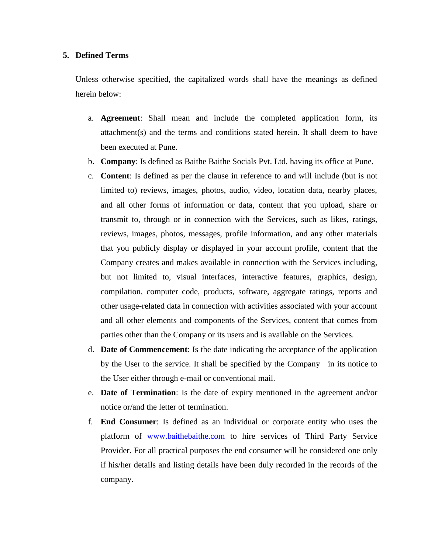# **5. Defined Terms**

Unless otherwise specified, the capitalized words shall have the meanings as defined herein below:

- a. **Agreement**: Shall mean and include the completed application form, its attachment(s) and the terms and conditions stated herein. It shall deem to have been executed at Pune.
- b. **Company**: Is defined as Baithe Baithe Socials Pvt. Ltd. having its office at Pune.
- c. **Content**: Is defined as per the clause in reference to and will include (but is not limited to) reviews, images, photos, audio, video, location data, nearby places, and all other forms of information or data, content that you upload, share or transmit to, through or in connection with the Services, such as likes, ratings, reviews, images, photos, messages, profile information, and any other materials that you publicly display or displayed in your account profile, content that the Company creates and makes available in connection with the Services including, but not limited to, visual interfaces, interactive features, graphics, design, compilation, computer code, products, software, aggregate ratings, reports and other usage-related data in connection with activities associated with your account and all other elements and components of the Services, content that comes from parties other than the Company or its users and is available on the Services.
- d. **Date of Commencement**: Is the date indicating the acceptance of the application by the User to the service. It shall be specified by the Company in its notice to the User either through e-mail or conventional mail.
- e. **Date of Termination**: Is the date of expiry mentioned in the agreement and/or notice or/and the letter of termination.
- f. **End Consumer**: Is defined as an individual or corporate entity who uses the platform of [www.baithebaithe.com](http://www.baithebaithe.com/) to hire services of Third Party Service Provider. For all practical purposes the end consumer will be considered one only if his/her details and listing details have been duly recorded in the records of the company.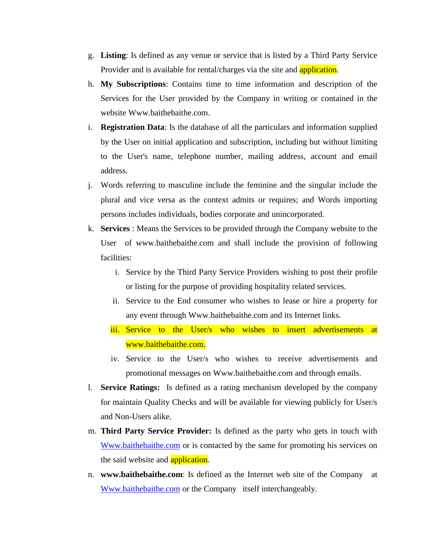- g. **Listing**: Is defined as any venue or service that is listed by a Third Party Service Provider and is available for rental/charges via the site and **application**.
- h. **My Subscriptions**: Contains time to time information and description of the Services for the User provided by the Company in writing or contained in the website Www.baithebaithe.com.
- i. **Registration Data**: Is the database of all the particulars and information supplied by the User on initial application and subscription, including but without limiting to the User's name, telephone number, mailing address, account and email address.
- j. Words referring to masculine include the feminine and the singular include the plural and vice versa as the context admits or requires; and Words importing persons includes individuals, bodies corporate and unincorporated.
- k. **Services** : Means the Services to be provided through the Company website to the User of www.baithebaithe.com and shall include the provision of following facilities:
	- i. Service by the Third Party Service Providers wishing to post their profile or listing for the purpose of providing hospitality related services.
	- ii. Service to the End consumer who wishes to lease or hire a property for any event through Www.baithebaithe.com and its Internet links.
	- iii. Service to the User/s who wishes to insert advertisements at www.baithebaithe.com.
	- iv. Service to the User/s who wishes to receive advertisements and promotional messages on Www.baithebaithe.com and through emails.
- l. **Service Ratings:** Is defined as a rating mechanism developed by the company for maintain Quality Checks and will be available for viewing publicly for User/s and Non-Users alike.
- m. **Third Party Service Provider:** Is defined as the party who gets in touch with [Www.baithebaithe.com](http://www.baithebaithe.com/) or is contacted by the same for promoting his services on the said website and **application**.
- n. **www.baithebaithe.com**: Is defined as the Internet web site of the Company at [Www.baithebaithe.com](http://www.baithebaithe.com/) or the Company itself interchangeably.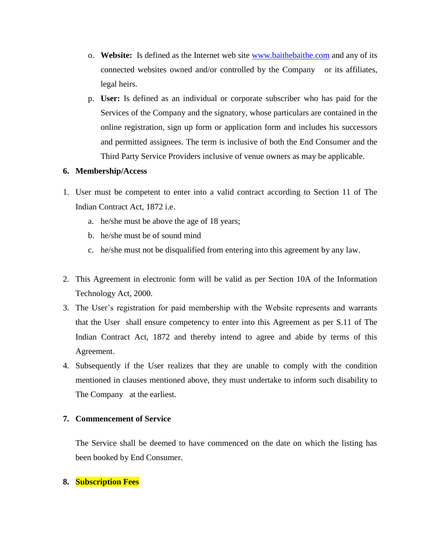- o. **Website:** Is defined as the Internet web site [www.baithebaithe.com](http://www.baithebaithe.com/) and any of its connected websites owned and/or controlled by the Company or its affiliates, legal heirs.
- p. **User:** Is defined as an individual or corporate subscriber who has paid for the Services of the Company and the signatory, whose particulars are contained in the online registration, sign up form or application form and includes his successors and permitted assignees. The term is inclusive of both the End Consumer and the Third Party Service Providers inclusive of venue owners as may be applicable.

# **6. Membership/Access**

- 1. User must be competent to enter into a valid contract according to Section 11 of The Indian Contract Act, 1872 i.e.
	- a. he/she must be above the age of 18 years;
	- b. he/she must be of sound mind
	- c. he/she must not be disqualified from entering into this agreement by any law.
- 2. This Agreement in electronic form will be valid as per Section 10A of the Information Technology Act, 2000.
- 3. The User's registration for paid membership with the Website represents and warrants that the User shall ensure competency to enter into this Agreement as per S.11 of The Indian Contract Act, 1872 and thereby intend to agree and abide by terms of this Agreement.
- 4. Subsequently if the User realizes that they are unable to comply with the condition mentioned in clauses mentioned above, they must undertake to inform such disability to The Company at the earliest.

# **7. Commencement of Service**

The Service shall be deemed to have commenced on the date on which the listing has been booked by End Consumer.

# **8. Subscription Fees**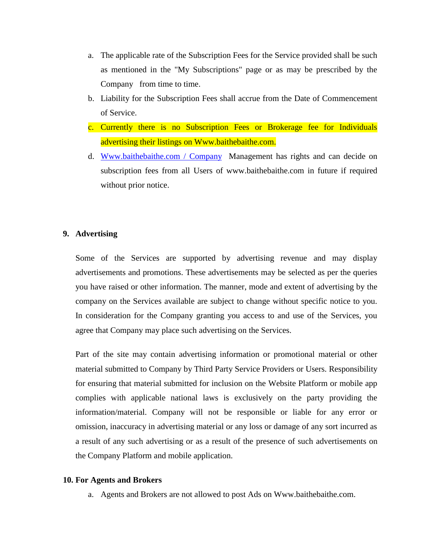- a. The applicable rate of the Subscription Fees for the Service provided shall be such as mentioned in the "My Subscriptions" page or as may be prescribed by the Company from time to time.
- b. Liability for the Subscription Fees shall accrue from the Date of Commencement of Service.
- c. Currently there is no Subscription Fees or Brokerage fee for Individuals advertising their listings on Www.baithebaithe.com.
- d. Www.baithebaithe.com / Company Management has rights and can decide on subscription fees from all Users of www.baithebaithe.com in future if required without prior notice.

# **9. Advertising**

Some of the Services are supported by advertising revenue and may display advertisements and promotions. These advertisements may be selected as per the queries you have raised or other information. The manner, mode and extent of advertising by the company on the Services available are subject to change without specific notice to you. In consideration for the Company granting you access to and use of the Services, you agree that Company may place such advertising on the Services.

Part of the site may contain advertising information or promotional material or other material submitted to Company by Third Party Service Providers or Users. Responsibility for ensuring that material submitted for inclusion on the Website Platform or mobile app complies with applicable national laws is exclusively on the party providing the information/material. Company will not be responsible or liable for any error or omission, inaccuracy in advertising material or any loss or damage of any sort incurred as a result of any such advertising or as a result of the presence of such advertisements on the Company Platform and mobile application.

# **10. For Agents and Brokers**

a. Agents and Brokers are not allowed to post Ads on Www.baithebaithe.com.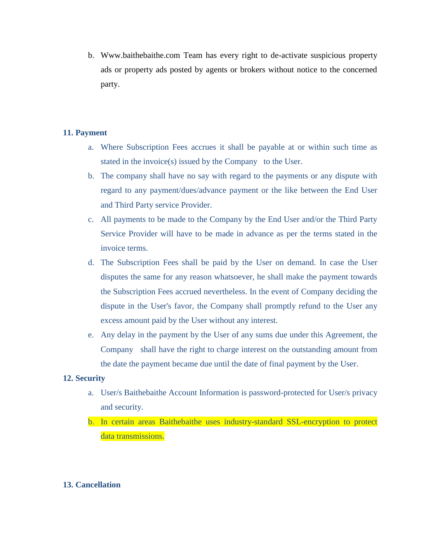b. Www.baithebaithe.com Team has every right to de-activate suspicious property ads or property ads posted by agents or brokers without notice to the concerned party.

# **11. Payment**

- a. Where Subscription Fees accrues it shall be payable at or within such time as stated in the invoice(s) issued by the Company to the User.
- b. The company shall have no say with regard to the payments or any dispute with regard to any payment/dues/advance payment or the like between the End User and Third Party service Provider.
- c. All payments to be made to the Company by the End User and/or the Third Party Service Provider will have to be made in advance as per the terms stated in the invoice terms.
- d. The Subscription Fees shall be paid by the User on demand. In case the User disputes the same for any reason whatsoever, he shall make the payment towards the Subscription Fees accrued nevertheless. In the event of Company deciding the dispute in the User's favor, the Company shall promptly refund to the User any excess amount paid by the User without any interest.
- e. Any delay in the payment by the User of any sums due under this Agreement, the Company shall have the right to charge interest on the outstanding amount from the date the payment became due until the date of final payment by the User.

# **12. Security**

- a. User/s Baithebaithe Account Information is password-protected for User/s privacy and security.
- b. In certain areas Baithebaithe uses industry-standard SSL-encryption to protect data transmissions.

# **13. Cancellation**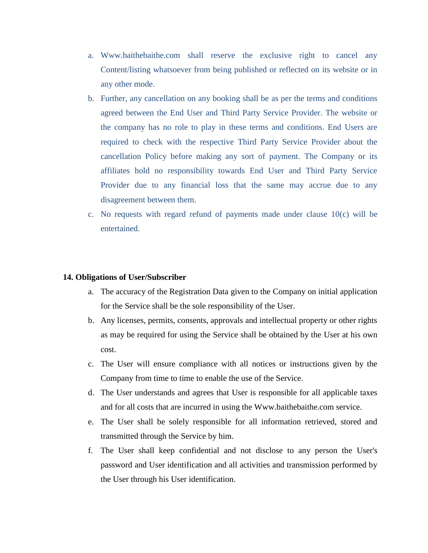- a. Www.baithebaithe.com shall reserve the exclusive right to cancel any Content/listing whatsoever from being published or reflected on its website or in any other mode.
- b. Further, any cancellation on any booking shall be as per the terms and conditions agreed between the End User and Third Party Service Provider. The website or the company has no role to play in these terms and conditions. End Users are required to check with the respective Third Party Service Provider about the cancellation Policy before making any sort of payment. The Company or its affiliates hold no responsibility towards End User and Third Party Service Provider due to any financial loss that the same may accrue due to any disagreement between them.
- c. No requests with regard refund of payments made under clause  $10(c)$  will be entertained.

#### **14. Obligations of User/Subscriber**

- a. The accuracy of the Registration Data given to the Company on initial application for the Service shall be the sole responsibility of the User.
- b. Any licenses, permits, consents, approvals and intellectual property or other rights as may be required for using the Service shall be obtained by the User at his own cost.
- c. The User will ensure compliance with all notices or instructions given by the Company from time to time to enable the use of the Service.
- d. The User understands and agrees that User is responsible for all applicable taxes and for all costs that are incurred in using the Www.baithebaithe.com service.
- e. The User shall be solely responsible for all information retrieved, stored and transmitted through the Service by him.
- f. The User shall keep confidential and not disclose to any person the User's password and User identification and all activities and transmission performed by the User through his User identification.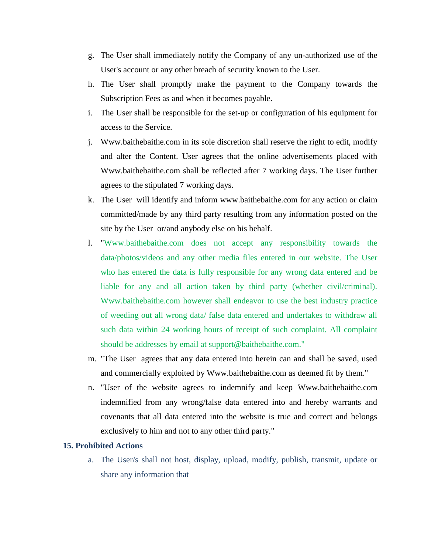- g. The User shall immediately notify the Company of any un-authorized use of the User's account or any other breach of security known to the User.
- h. The User shall promptly make the payment to the Company towards the Subscription Fees as and when it becomes payable.
- i. The User shall be responsible for the set-up or configuration of his equipment for access to the Service.
- j. Www.baithebaithe.com in its sole discretion shall reserve the right to edit, modify and alter the Content. User agrees that the online advertisements placed with Www.baithebaithe.com shall be reflected after 7 working days. The User further agrees to the stipulated 7 working days.
- k. The User will identify and inform www.baithebaithe.com for any action or claim committed/made by any third party resulting from any information posted on the site by the User or/and anybody else on his behalf.
- l. "Www.baithebaithe.com does not accept any responsibility towards the data/photos/videos and any other media files entered in our website. The User who has entered the data is fully responsible for any wrong data entered and be liable for any and all action taken by third party (whether civil/criminal). Www.baithebaithe.com however shall endeavor to use the best industry practice of weeding out all wrong data/ false data entered and undertakes to withdraw all such data within 24 working hours of receipt of such complaint. All complaint should be addresses by email at support@baithebaithe.com."
- m. "The User agrees that any data entered into herein can and shall be saved, used and commercially exploited by Www.baithebaithe.com as deemed fit by them."
- n. "User of the website agrees to indemnify and keep Www.baithebaithe.com indemnified from any wrong/false data entered into and hereby warrants and covenants that all data entered into the website is true and correct and belongs exclusively to him and not to any other third party."

# **15. Prohibited Actions**

a. The User/s shall not host, display, upload, modify, publish, transmit, update or share any information that —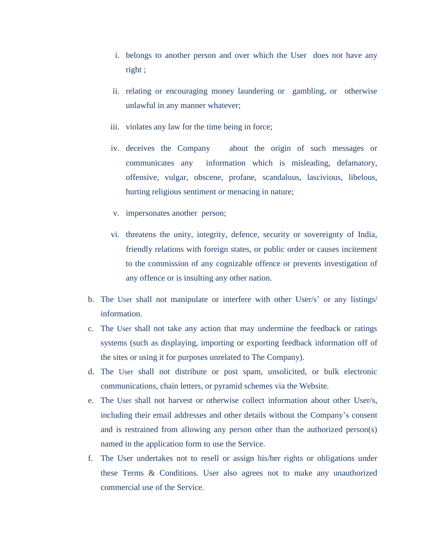- i. belongs to another person and over which the User does not have any right ;
- ii. relating or encouraging money laundering or gambling, or otherwise unlawful in any manner whatever;
- iii. violates any law for the time being in force;
- iv. deceives the Company about the origin of such messages or communicates any information which is misleading, defamatory, offensive, vulgar, obscene, profane, scandalous, lascivious, libelous, hurting religious sentiment or menacing in nature;
- v. impersonates another person;
- vi. threatens the unity, integrity, defence, security or sovereignty of India, friendly relations with foreign states, or public order or causes incitement to the commission of any cognizable offence or prevents investigation of any offence or is insulting any other nation.
- b. The User shall not manipulate or interfere with other User/s' or any listings/ information.
- c. The User shall not take any action that may undermine the feedback or ratings systems (such as displaying, importing or exporting feedback information off of the sites or using it for purposes unrelated to The Company).
- d. The User shall not distribute or post spam, unsolicited, or bulk electronic communications, chain letters, or pyramid schemes via the Website.
- e. The User shall not harvest or otherwise collect information about other User/s, including their email addresses and other details without the Company's consent and is restrained from allowing any person other than the authorized person(s) named in the application form to use the Service.
- f. The User undertakes not to resell or assign his/her rights or obligations under these Terms & Conditions. User also agrees not to make any unauthorized commercial use of the Service.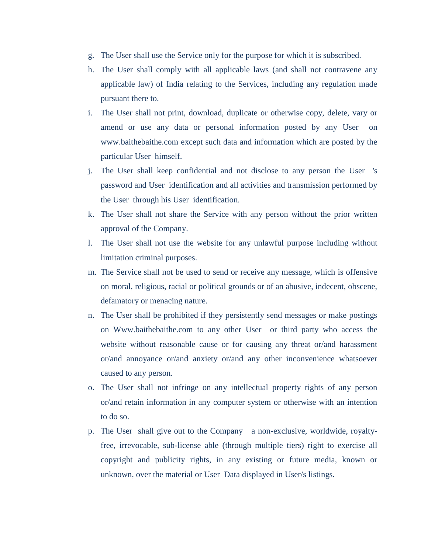- g. The User shall use the Service only for the purpose for which it is subscribed.
- h. The User shall comply with all applicable laws (and shall not contravene any applicable law) of India relating to the Services, including any regulation made pursuant there to.
- i. The User shall not print, download, duplicate or otherwise copy, delete, vary or amend or use any data or personal information posted by any User on www.baithebaithe.com except such data and information which are posted by the particular User himself.
- j. The User shall keep confidential and not disclose to any person the User 's password and User identification and all activities and transmission performed by the User through his User identification.
- k. The User shall not share the Service with any person without the prior written approval of the Company.
- l. The User shall not use the website for any unlawful purpose including without limitation criminal purposes.
- m. The Service shall not be used to send or receive any message, which is offensive on moral, religious, racial or political grounds or of an abusive, indecent, obscene, defamatory or menacing nature.
- n. The User shall be prohibited if they persistently send messages or make postings on Www.baithebaithe.com to any other User or third party who access the website without reasonable cause or for causing any threat or/and harassment or/and annoyance or/and anxiety or/and any other inconvenience whatsoever caused to any person.
- o. The User shall not infringe on any intellectual property rights of any person or/and retain information in any computer system or otherwise with an intention to do so.
- p. The User shall give out to the Company a non-exclusive, worldwide, royaltyfree, irrevocable, sub-license able (through multiple tiers) right to exercise all copyright and publicity rights, in any existing or future media, known or unknown, over the material or User Data displayed in User/s listings.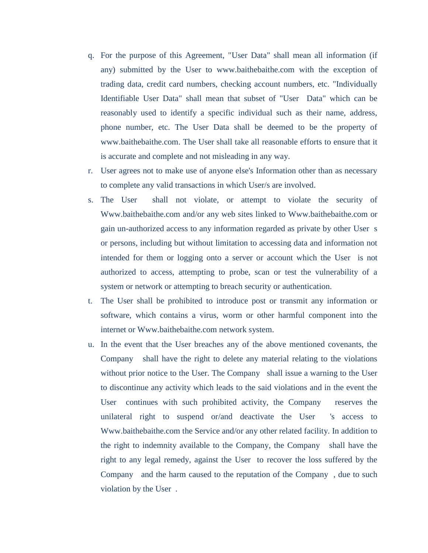- q. For the purpose of this Agreement, "User Data" shall mean all information (if any) submitted by the User to www.baithebaithe.com with the exception of trading data, credit card numbers, checking account numbers, etc. "Individually Identifiable User Data" shall mean that subset of "User Data" which can be reasonably used to identify a specific individual such as their name, address, phone number, etc. The User Data shall be deemed to be the property of www.baithebaithe.com. The User shall take all reasonable efforts to ensure that it is accurate and complete and not misleading in any way.
- r. User agrees not to make use of anyone else's Information other than as necessary to complete any valid transactions in which User/s are involved.
- s. The User shall not violate, or attempt to violate the security of Www.baithebaithe.com and/or any web sites linked to Www.baithebaithe.com or gain un-authorized access to any information regarded as private by other User s or persons, including but without limitation to accessing data and information not intended for them or logging onto a server or account which the User is not authorized to access, attempting to probe, scan or test the vulnerability of a system or network or attempting to breach security or authentication.
- t. The User shall be prohibited to introduce post or transmit any information or software, which contains a virus, worm or other harmful component into the internet or Www.baithebaithe.com network system.
- u. In the event that the User breaches any of the above mentioned covenants, the Company shall have the right to delete any material relating to the violations without prior notice to the User. The Company shall issue a warning to the User to discontinue any activity which leads to the said violations and in the event the User continues with such prohibited activity, the Company reserves the unilateral right to suspend or/and deactivate the User 's access to Www.baithebaithe.com the Service and/or any other related facility. In addition to the right to indemnity available to the Company, the Company shall have the right to any legal remedy, against the User to recover the loss suffered by the Company and the harm caused to the reputation of the Company , due to such violation by the User .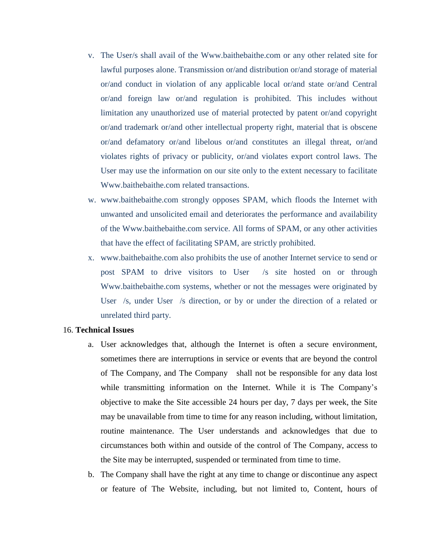- v. The User/s shall avail of the Www.baithebaithe.com or any other related site for lawful purposes alone. Transmission or/and distribution or/and storage of material or/and conduct in violation of any applicable local or/and state or/and Central or/and foreign law or/and regulation is prohibited. This includes without limitation any unauthorized use of material protected by patent or/and copyright or/and trademark or/and other intellectual property right, material that is obscene or/and defamatory or/and libelous or/and constitutes an illegal threat, or/and violates rights of privacy or publicity, or/and violates export control laws. The User may use the information on our site only to the extent necessary to facilitate Www.baithebaithe.com related transactions.
- w. www.baithebaithe.com strongly opposes SPAM, which floods the Internet with unwanted and unsolicited email and deteriorates the performance and availability of the Www.baithebaithe.com service. All forms of SPAM, or any other activities that have the effect of facilitating SPAM, are strictly prohibited.
- x. www.baithebaithe.com also prohibits the use of another Internet service to send or post SPAM to drive visitors to User /s site hosted on or through Www.baithebaithe.com systems, whether or not the messages were originated by User /s, under User /s direction, or by or under the direction of a related or unrelated third party.

#### 16. **Technical Issues**

- a. User acknowledges that, although the Internet is often a secure environment, sometimes there are interruptions in service or events that are beyond the control of The Company, and The Company shall not be responsible for any data lost while transmitting information on the Internet. While it is The Company's objective to make the Site accessible 24 hours per day, 7 days per week, the Site may be unavailable from time to time for any reason including, without limitation, routine maintenance. The User understands and acknowledges that due to circumstances both within and outside of the control of The Company, access to the Site may be interrupted, suspended or terminated from time to time.
- b. The Company shall have the right at any time to change or discontinue any aspect or feature of The Website, including, but not limited to, Content, hours of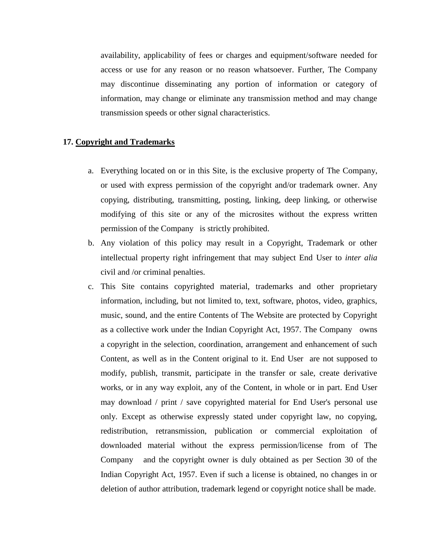availability, applicability of fees or charges and equipment/software needed for access or use for any reason or no reason whatsoever. Further, The Company may discontinue disseminating any portion of information or category of information, may change or eliminate any transmission method and may change transmission speeds or other signal characteristics.

# **17. Copyright and Trademarks**

- a. Everything located on or in this Site, is the exclusive property of The Company, or used with express permission of the copyright and/or trademark owner. Any copying, distributing, transmitting, posting, linking, deep linking, or otherwise modifying of this site or any of the microsites without the express written permission of the Company is strictly prohibited.
- b. Any violation of this policy may result in a Copyright, Trademark or other intellectual property right infringement that may subject End User to *inter alia* civil and /or criminal penalties.
- c. This Site contains copyrighted material, trademarks and other proprietary information, including, but not limited to, text, software, photos, video, graphics, music, sound, and the entire Contents of The Website are protected by Copyright as a collective work under the Indian Copyright Act, 1957. The Company owns a copyright in the selection, coordination, arrangement and enhancement of such Content, as well as in the Content original to it. End User are not supposed to modify, publish, transmit, participate in the transfer or sale, create derivative works, or in any way exploit, any of the Content, in whole or in part. End User may download / print / save copyrighted material for End User's personal use only. Except as otherwise expressly stated under copyright law, no copying, redistribution, retransmission, publication or commercial exploitation of downloaded material without the express permission/license from of The Company and the copyright owner is duly obtained as per Section 30 of the Indian Copyright Act, 1957. Even if such a license is obtained, no changes in or deletion of author attribution, trademark legend or copyright notice shall be made.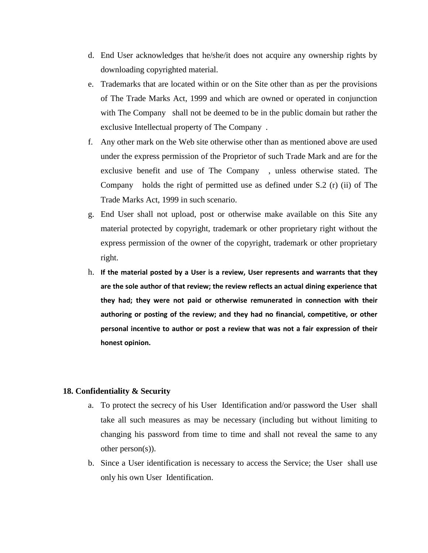- d. End User acknowledges that he/she/it does not acquire any ownership rights by downloading copyrighted material.
- e. Trademarks that are located within or on the Site other than as per the provisions of The Trade Marks Act, 1999 and which are owned or operated in conjunction with The Company shall not be deemed to be in the public domain but rather the exclusive Intellectual property of The Company .
- f. Any other mark on the Web site otherwise other than as mentioned above are used under the express permission of the Proprietor of such Trade Mark and are for the exclusive benefit and use of The Company , unless otherwise stated. The Company holds the right of permitted use as defined under S.2 (r) (ii) of The Trade Marks Act, 1999 in such scenario.
- g. End User shall not upload, post or otherwise make available on this Site any material protected by copyright, trademark or other proprietary right without the express permission of the owner of the copyright, trademark or other proprietary right.
- h. **If the material posted by a User is a review, User represents and warrants that they are the sole author of that review; the review reflects an actual dining experience that they had; they were not paid or otherwise remunerated in connection with their authoring or posting of the review; and they had no financial, competitive, or other personal incentive to author or post a review that was not a fair expression of their honest opinion.**

# **18. Confidentiality & Security**

- a. To protect the secrecy of his User Identification and/or password the User shall take all such measures as may be necessary (including but without limiting to changing his password from time to time and shall not reveal the same to any other person(s)).
- b. Since a User identification is necessary to access the Service; the User shall use only his own User Identification.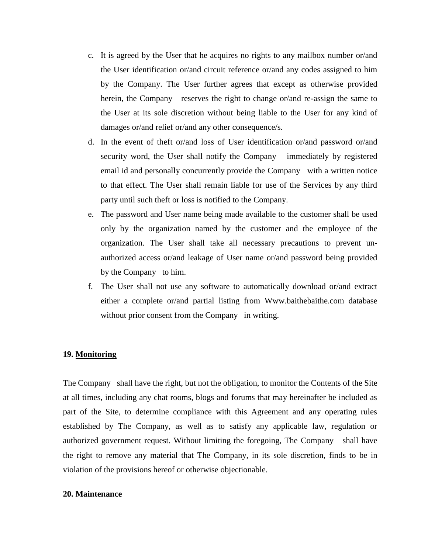- c. It is agreed by the User that he acquires no rights to any mailbox number or/and the User identification or/and circuit reference or/and any codes assigned to him by the Company. The User further agrees that except as otherwise provided herein, the Company reserves the right to change or/and re-assign the same to the User at its sole discretion without being liable to the User for any kind of damages or/and relief or/and any other consequence/s.
- d. In the event of theft or/and loss of User identification or/and password or/and security word, the User shall notify the Company immediately by registered email id and personally concurrently provide the Company with a written notice to that effect. The User shall remain liable for use of the Services by any third party until such theft or loss is notified to the Company.
- e. The password and User name being made available to the customer shall be used only by the organization named by the customer and the employee of the organization. The User shall take all necessary precautions to prevent unauthorized access or/and leakage of User name or/and password being provided by the Company to him.
- f. The User shall not use any software to automatically download or/and extract either a complete or/and partial listing from Www.baithebaithe.com database without prior consent from the Company in writing.

# **19. Monitoring**

The Company shall have the right, but not the obligation, to monitor the Contents of the Site at all times, including any chat rooms, blogs and forums that may hereinafter be included as part of the Site, to determine compliance with this Agreement and any operating rules established by The Company, as well as to satisfy any applicable law, regulation or authorized government request. Without limiting the foregoing, The Company shall have the right to remove any material that The Company, in its sole discretion, finds to be in violation of the provisions hereof or otherwise objectionable.

# **20. Maintenance**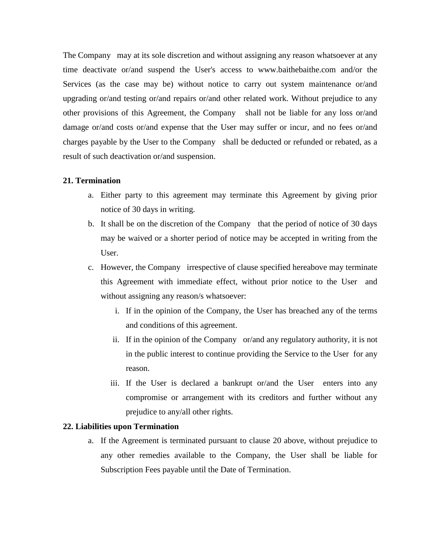The Company may at its sole discretion and without assigning any reason whatsoever at any time deactivate or/and suspend the User's access to www.baithebaithe.com and/or the Services (as the case may be) without notice to carry out system maintenance or/and upgrading or/and testing or/and repairs or/and other related work. Without prejudice to any other provisions of this Agreement, the Company shall not be liable for any loss or/and damage or/and costs or/and expense that the User may suffer or incur, and no fees or/and charges payable by the User to the Company shall be deducted or refunded or rebated, as a result of such deactivation or/and suspension.

# **21. Termination**

- a. Either party to this agreement may terminate this Agreement by giving prior notice of 30 days in writing.
- b. It shall be on the discretion of the Company that the period of notice of 30 days may be waived or a shorter period of notice may be accepted in writing from the User.
- c. However, the Company irrespective of clause specified hereabove may terminate this Agreement with immediate effect, without prior notice to the User and without assigning any reason/s whatsoever:
	- i. If in the opinion of the Company, the User has breached any of the terms and conditions of this agreement.
	- ii. If in the opinion of the Company or/and any regulatory authority, it is not in the public interest to continue providing the Service to the User for any reason.
	- iii. If the User is declared a bankrupt or/and the User enters into any compromise or arrangement with its creditors and further without any prejudice to any/all other rights.

# **22. Liabilities upon Termination**

a. If the Agreement is terminated pursuant to clause 20 above, without prejudice to any other remedies available to the Company, the User shall be liable for Subscription Fees payable until the Date of Termination.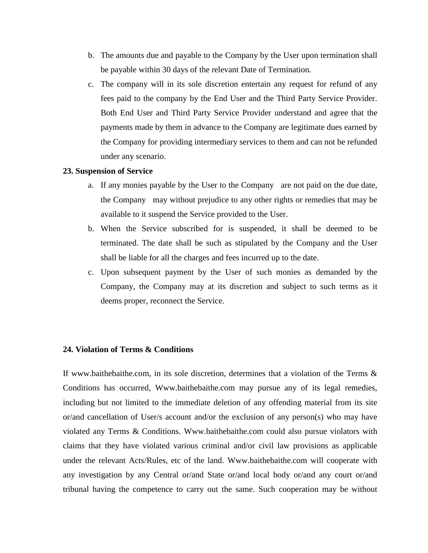- b. The amounts due and payable to the Company by the User upon termination shall be payable within 30 days of the relevant Date of Termination.
- c. The company will in its sole discretion entertain any request for refund of any fees paid to the company by the End User and the Third Party Service Provider. Both End User and Third Party Service Provider understand and agree that the payments made by them in advance to the Company are legitimate dues earned by the Company for providing intermediary services to them and can not be refunded under any scenario.

### **23. Suspension of Service**

- a. If any monies payable by the User to the Company are not paid on the due date, the Company may without prejudice to any other rights or remedies that may be available to it suspend the Service provided to the User.
- b. When the Service subscribed for is suspended, it shall be deemed to be terminated. The date shall be such as stipulated by the Company and the User shall be liable for all the charges and fees incurred up to the date.
- c. Upon subsequent payment by the User of such monies as demanded by the Company, the Company may at its discretion and subject to such terms as it deems proper, reconnect the Service.

# **24. Violation of Terms & Conditions**

If www.baithebaithe.com, in its sole discretion, determines that a violation of the Terms  $\&$ Conditions has occurred, Www.baithebaithe.com may pursue any of its legal remedies, including but not limited to the immediate deletion of any offending material from its site or/and cancellation of User/s account and/or the exclusion of any person(s) who may have violated any Terms & Conditions. Www.baithebaithe.com could also pursue violators with claims that they have violated various criminal and/or civil law provisions as applicable under the relevant Acts/Rules, etc of the land. Www.baithebaithe.com will cooperate with any investigation by any Central or/and State or/and local body or/and any court or/and tribunal having the competence to carry out the same. Such cooperation may be without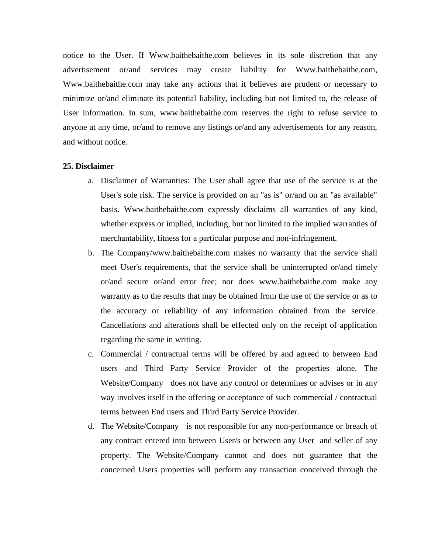notice to the User. If Www.baithebaithe.com believes in its sole discretion that any advertisement or/and services may create liability for Www.baithebaithe.com, Www.baithebaithe.com may take any actions that it believes are prudent or necessary to minimize or/and eliminate its potential liability, including but not limited to, the release of User information. In sum, www.baithebaithe.com reserves the right to refuse service to anyone at any time, or/and to remove any listings or/and any advertisements for any reason, and without notice.

#### **25. Disclaimer**

- a. Disclaimer of Warranties: The User shall agree that use of the service is at the User's sole risk. The service is provided on an "as is" or/and on an "as available" basis. Www.baithebaithe.com expressly disclaims all warranties of any kind, whether express or implied, including, but not limited to the implied warranties of merchantability, fitness for a particular purpose and non-infringement.
- b. The Company/www.baithebaithe.com makes no warranty that the service shall meet User's requirements, that the service shall be uninterrupted or/and timely or/and secure or/and error free; nor does www.baithebaithe.com make any warranty as to the results that may be obtained from the use of the service or as to the accuracy or reliability of any information obtained from the service. Cancellations and alterations shall be effected only on the receipt of application regarding the same in writing.
- c. Commercial / contractual terms will be offered by and agreed to between End users and Third Party Service Provider of the properties alone. The Website/Company does not have any control or determines or advises or in any way involves itself in the offering or acceptance of such commercial / contractual terms between End users and Third Party Service Provider.
- d. The Website/Company is not responsible for any non-performance or breach of any contract entered into between User/s or between any User and seller of any property. The Website/Company cannot and does not guarantee that the concerned Users properties will perform any transaction conceived through the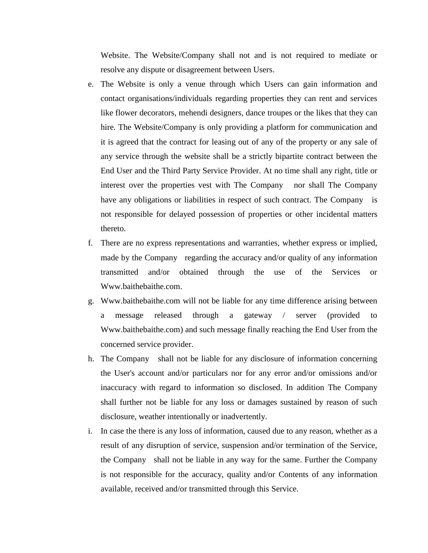Website. The Website/Company shall not and is not required to mediate or resolve any dispute or disagreement between Users.

- e. The Website is only a venue through which Users can gain information and contact organisations/individuals regarding properties they can rent and services like flower decorators, mehendi designers, dance troupes or the likes that they can hire. The Website/Company is only providing a platform for communication and it is agreed that the contract for leasing out of any of the property or any sale of any service through the website shall be a strictly bipartite contract between the End User and the Third Party Service Provider. At no time shall any right, title or interest over the properties vest with The Company nor shall The Company have any obligations or liabilities in respect of such contract. The Company is not responsible for delayed possession of properties or other incidental matters thereto.
- f. There are no express representations and warranties, whether express or implied, made by the Company regarding the accuracy and/or quality of any information transmitted and/or obtained through the use of the Services or Www.baithebaithe.com.
- g. Www.baithebaithe.com will not be liable for any time difference arising between a message released through a gateway / server (provided to Www.baithebaithe.com) and such message finally reaching the End User from the concerned service provider.
- h. The Company shall not be liable for any disclosure of information concerning the User's account and/or particulars nor for any error and/or omissions and/or inaccuracy with regard to information so disclosed. In addition The Company shall further not be liable for any loss or damages sustained by reason of such disclosure, weather intentionally or inadvertently.
- i. In case the there is any loss of information, caused due to any reason, whether as a result of any disruption of service, suspension and/or termination of the Service, the Company shall not be liable in any way for the same. Further the Company is not responsible for the accuracy, quality and/or Contents of any information available, received and/or transmitted through this Service.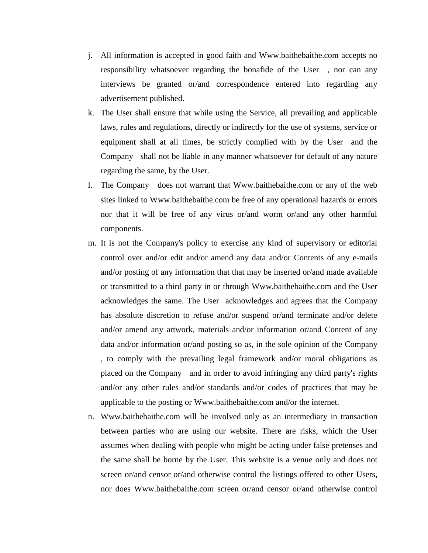- j. All information is accepted in good faith and Www.baithebaithe.com accepts no responsibility whatsoever regarding the bonafide of the User , nor can any interviews be granted or/and correspondence entered into regarding any advertisement published.
- k. The User shall ensure that while using the Service, all prevailing and applicable laws, rules and regulations, directly or indirectly for the use of systems, service or equipment shall at all times, be strictly complied with by the User and the Company shall not be liable in any manner whatsoever for default of any nature regarding the same, by the User.
- l. The Company does not warrant that Www.baithebaithe.com or any of the web sites linked to Www.baithebaithe.com be free of any operational hazards or errors nor that it will be free of any virus or/and worm or/and any other harmful components.
- m. It is not the Company's policy to exercise any kind of supervisory or editorial control over and/or edit and/or amend any data and/or Contents of any e-mails and/or posting of any information that that may be inserted or/and made available or transmitted to a third party in or through Www.baithebaithe.com and the User acknowledges the same. The User acknowledges and agrees that the Company has absolute discretion to refuse and/or suspend or/and terminate and/or delete and/or amend any artwork, materials and/or information or/and Content of any data and/or information or/and posting so as, in the sole opinion of the Company , to comply with the prevailing legal framework and/or moral obligations as placed on the Company and in order to avoid infringing any third party's rights and/or any other rules and/or standards and/or codes of practices that may be applicable to the posting or Www.baithebaithe.com and/or the internet.
- n. Www.baithebaithe.com will be involved only as an intermediary in transaction between parties who are using our website. There are risks, which the User assumes when dealing with people who might be acting under false pretenses and the same shall be borne by the User. This website is a venue only and does not screen or/and censor or/and otherwise control the listings offered to other Users, nor does Www.baithebaithe.com screen or/and censor or/and otherwise control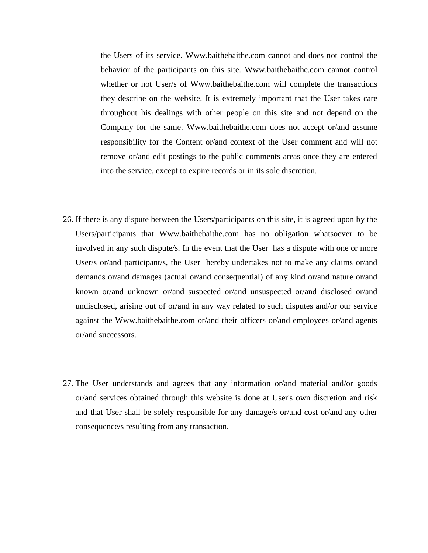the Users of its service. Www.baithebaithe.com cannot and does not control the behavior of the participants on this site. Www.baithebaithe.com cannot control whether or not User/s of Www.baithebaithe.com will complete the transactions they describe on the website. It is extremely important that the User takes care throughout his dealings with other people on this site and not depend on the Company for the same. Www.baithebaithe.com does not accept or/and assume responsibility for the Content or/and context of the User comment and will not remove or/and edit postings to the public comments areas once they are entered into the service, except to expire records or in its sole discretion.

- 26. If there is any dispute between the Users/participants on this site, it is agreed upon by the Users/participants that Www.baithebaithe.com has no obligation whatsoever to be involved in any such dispute/s. In the event that the User has a dispute with one or more User/s or/and participant/s, the User hereby undertakes not to make any claims or/and demands or/and damages (actual or/and consequential) of any kind or/and nature or/and known or/and unknown or/and suspected or/and unsuspected or/and disclosed or/and undisclosed, arising out of or/and in any way related to such disputes and/or our service against the Www.baithebaithe.com or/and their officers or/and employees or/and agents or/and successors.
- 27. The User understands and agrees that any information or/and material and/or goods or/and services obtained through this website is done at User's own discretion and risk and that User shall be solely responsible for any damage/s or/and cost or/and any other consequence/s resulting from any transaction.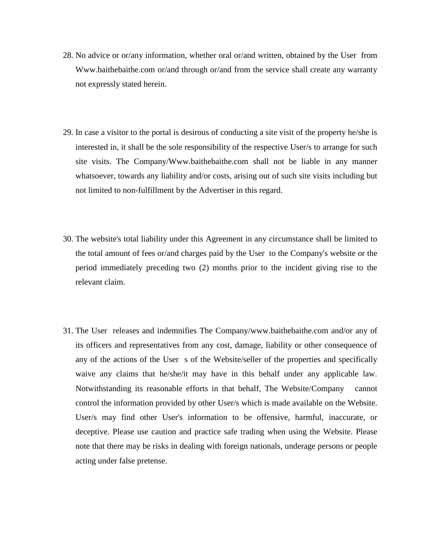- 28. No advice or or/any information, whether oral or/and written, obtained by the User from Www.baithebaithe.com or/and through or/and from the service shall create any warranty not expressly stated herein.
- 29. In case a visitor to the portal is desirous of conducting a site visit of the property he/she is interested in, it shall be the sole responsibility of the respective User/s to arrange for such site visits. The Company/Www.baithebaithe.com shall not be liable in any manner whatsoever, towards any liability and/or costs, arising out of such site visits including but not limited to non-fulfillment by the Advertiser in this regard.
- 30. The website's total liability under this Agreement in any circumstance shall be limited to the total amount of fees or/and charges paid by the User to the Company's website or the period immediately preceding two (2) months prior to the incident giving rise to the relevant claim.
- 31. The User releases and indemnifies The Company/www.baithebaithe.com and/or any of its officers and representatives from any cost, damage, liability or other consequence of any of the actions of the User s of the Website/seller of the properties and specifically waive any claims that he/she/it may have in this behalf under any applicable law. Notwithstanding its reasonable efforts in that behalf, The Website/Company cannot control the information provided by other User/s which is made available on the Website. User/s may find other User's information to be offensive, harmful, inaccurate, or deceptive. Please use caution and practice safe trading when using the Website. Please note that there may be risks in dealing with foreign nationals, underage persons or people acting under false pretense.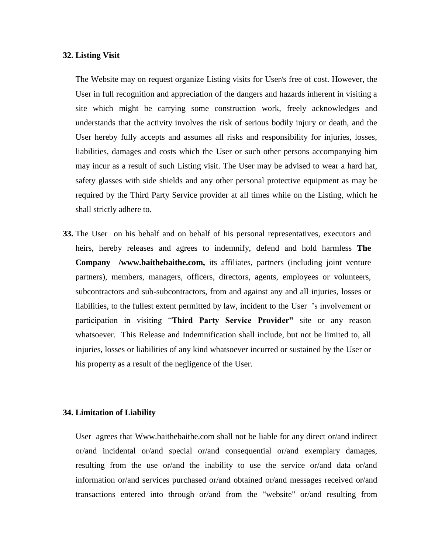#### **32. Listing Visit**

The Website may on request organize Listing visits for User/s free of cost. However, the User in full recognition and appreciation of the dangers and hazards inherent in visiting a site which might be carrying some construction work, freely acknowledges and understands that the activity involves the risk of serious bodily injury or death, and the User hereby fully accepts and assumes all risks and responsibility for injuries, losses, liabilities, damages and costs which the User or such other persons accompanying him may incur as a result of such Listing visit. The User may be advised to wear a hard hat, safety glasses with side shields and any other personal protective equipment as may be required by the Third Party Service provider at all times while on the Listing, which he shall strictly adhere to.

**33.** The User on his behalf and on behalf of his personal representatives, executors and heirs, hereby releases and agrees to indemnify, defend and hold harmless **The Company /www.baithebaithe.com,** its affiliates, partners (including joint venture partners), members, managers, officers, directors, agents, employees or volunteers, subcontractors and sub-subcontractors, from and against any and all injuries, losses or liabilities, to the fullest extent permitted by law, incident to the User 's involvement or participation in visiting "**Third Party Service Provider"** site or any reason whatsoever. This Release and Indemnification shall include, but not be limited to, all injuries, losses or liabilities of any kind whatsoever incurred or sustained by the User or his property as a result of the negligence of the User.

#### **34. Limitation of Liability**

User agrees that Www.baithebaithe.com shall not be liable for any direct or/and indirect or/and incidental or/and special or/and consequential or/and exemplary damages, resulting from the use or/and the inability to use the service or/and data or/and information or/and services purchased or/and obtained or/and messages received or/and transactions entered into through or/and from the "website" or/and resulting from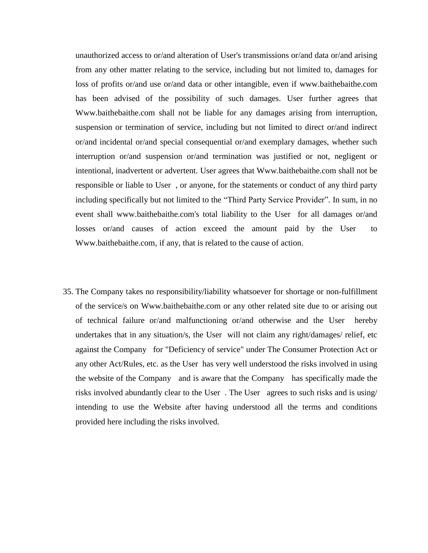unauthorized access to or/and alteration of User's transmissions or/and data or/and arising from any other matter relating to the service, including but not limited to, damages for loss of profits or/and use or/and data or other intangible, even if www.baithebaithe.com has been advised of the possibility of such damages. User further agrees that Www.baithebaithe.com shall not be liable for any damages arising from interruption, suspension or termination of service, including but not limited to direct or/and indirect or/and incidental or/and special consequential or/and exemplary damages, whether such interruption or/and suspension or/and termination was justified or not, negligent or intentional, inadvertent or advertent. User agrees that Www.baithebaithe.com shall not be responsible or liable to User , or anyone, for the statements or conduct of any third party including specifically but not limited to the "Third Party Service Provider". In sum, in no event shall www.baithebaithe.com's total liability to the User for all damages or/and losses or/and causes of action exceed the amount paid by the User to Www.baithebaithe.com, if any, that is related to the cause of action.

35. The Company takes no responsibility/liability whatsoever for shortage or non-fulfillment of the service/s on Www.baithebaithe.com or any other related site due to or arising out of technical failure or/and malfunctioning or/and otherwise and the User hereby undertakes that in any situation/s, the User will not claim any right/damages/ relief, etc against the Company for "Deficiency of service" under The Consumer Protection Act or any other Act/Rules, etc. as the User has very well understood the risks involved in using the website of the Company and is aware that the Company has specifically made the risks involved abundantly clear to the User . The User agrees to such risks and is using/ intending to use the Website after having understood all the terms and conditions provided here including the risks involved.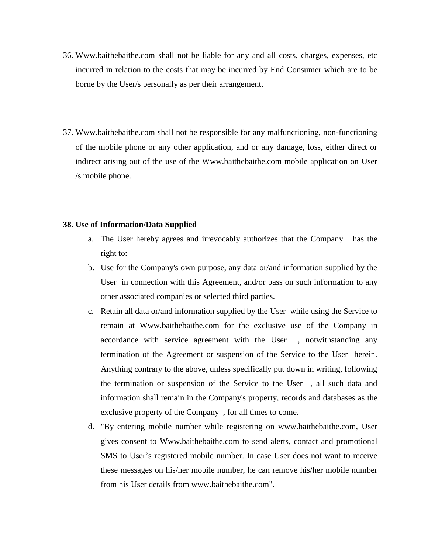- 36. Www.baithebaithe.com shall not be liable for any and all costs, charges, expenses, etc incurred in relation to the costs that may be incurred by End Consumer which are to be borne by the User/s personally as per their arrangement.
- 37. Www.baithebaithe.com shall not be responsible for any malfunctioning, non-functioning of the mobile phone or any other application, and or any damage, loss, either direct or indirect arising out of the use of the Www.baithebaithe.com mobile application on User /s mobile phone.

### **38. Use of Information/Data Supplied**

- a. The User hereby agrees and irrevocably authorizes that the Company has the right to:
- b. Use for the Company's own purpose, any data or/and information supplied by the User in connection with this Agreement, and/or pass on such information to any other associated companies or selected third parties.
- c. Retain all data or/and information supplied by the User while using the Service to remain at Www.baithebaithe.com for the exclusive use of the Company in accordance with service agreement with the User , notwithstanding any termination of the Agreement or suspension of the Service to the User herein. Anything contrary to the above, unless specifically put down in writing, following the termination or suspension of the Service to the User , all such data and information shall remain in the Company's property, records and databases as the exclusive property of the Company , for all times to come.
- d. "By entering mobile number while registering on www.baithebaithe.com, User gives consent to Www.baithebaithe.com to send alerts, contact and promotional SMS to User's registered mobile number. In case User does not want to receive these messages on his/her mobile number, he can remove his/her mobile number from his User details from www.baithebaithe.com".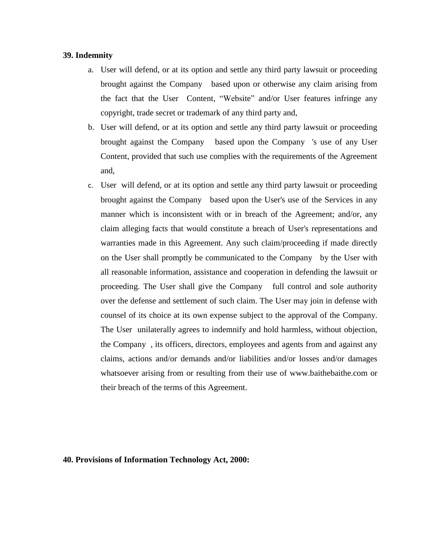# **39. Indemnity**

- a. User will defend, or at its option and settle any third party lawsuit or proceeding brought against the Company based upon or otherwise any claim arising from the fact that the User Content, "Website" and/or User features infringe any copyright, trade secret or trademark of any third party and,
- b. User will defend, or at its option and settle any third party lawsuit or proceeding brought against the Company based upon the Company 's use of any User Content, provided that such use complies with the requirements of the Agreement and,
- c. User will defend, or at its option and settle any third party lawsuit or proceeding brought against the Company based upon the User's use of the Services in any manner which is inconsistent with or in breach of the Agreement; and/or, any claim alleging facts that would constitute a breach of User's representations and warranties made in this Agreement. Any such claim/proceeding if made directly on the User shall promptly be communicated to the Company by the User with all reasonable information, assistance and cooperation in defending the lawsuit or proceeding. The User shall give the Company full control and sole authority over the defense and settlement of such claim. The User may join in defense with counsel of its choice at its own expense subject to the approval of the Company. The User unilaterally agrees to indemnify and hold harmless, without objection, the Company , its officers, directors, employees and agents from and against any claims, actions and/or demands and/or liabilities and/or losses and/or damages whatsoever arising from or resulting from their use of www.baithebaithe.com or their breach of the terms of this Agreement.

### **40. Provisions of Information Technology Act, 2000:**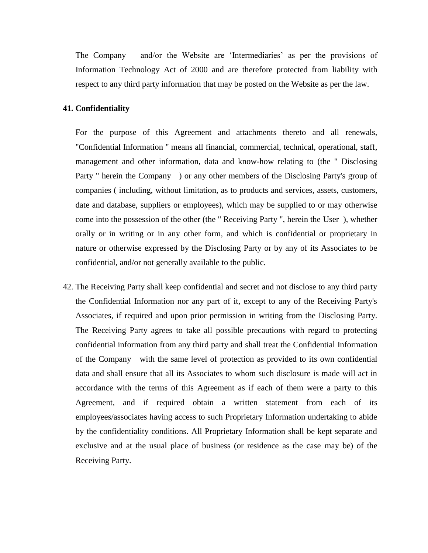The Company and/or the Website are 'Intermediaries' as per the provisions of Information Technology Act of 2000 and are therefore protected from liability with respect to any third party information that may be posted on the Website as per the law.

### **41. Confidentiality**

For the purpose of this Agreement and attachments thereto and all renewals, "Confidential Information " means all financial, commercial, technical, operational, staff, management and other information, data and know-how relating to (the " Disclosing Party " herein the Company ) or any other members of the Disclosing Party's group of companies ( including, without limitation, as to products and services, assets, customers, date and database, suppliers or employees), which may be supplied to or may otherwise come into the possession of the other (the " Receiving Party ", herein the User ), whether orally or in writing or in any other form, and which is confidential or proprietary in nature or otherwise expressed by the Disclosing Party or by any of its Associates to be confidential, and/or not generally available to the public.

42. The Receiving Party shall keep confidential and secret and not disclose to any third party the Confidential Information nor any part of it, except to any of the Receiving Party's Associates, if required and upon prior permission in writing from the Disclosing Party. The Receiving Party agrees to take all possible precautions with regard to protecting confidential information from any third party and shall treat the Confidential Information of the Company with the same level of protection as provided to its own confidential data and shall ensure that all its Associates to whom such disclosure is made will act in accordance with the terms of this Agreement as if each of them were a party to this Agreement, and if required obtain a written statement from each of its employees/associates having access to such Proprietary Information undertaking to abide by the confidentiality conditions. All Proprietary Information shall be kept separate and exclusive and at the usual place of business (or residence as the case may be) of the Receiving Party.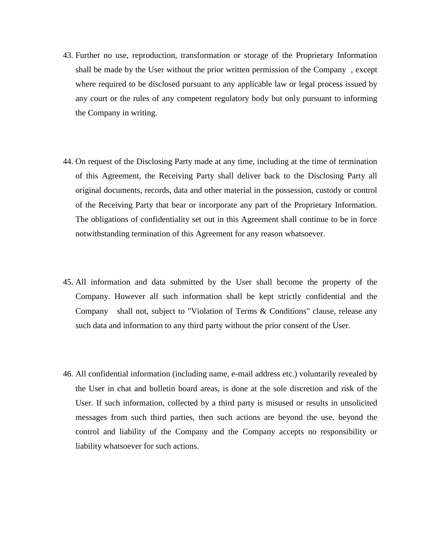- 43. Further no use, reproduction, transformation or storage of the Proprietary Information shall be made by the User without the prior written permission of the Company , except where required to be disclosed pursuant to any applicable law or legal process issued by any court or the rules of any competent regulatory body but only pursuant to informing the Company in writing.
- 44. On request of the Disclosing Party made at any time, including at the time of termination of this Agreement, the Receiving Party shall deliver back to the Disclosing Party all original documents, records, data and other material in the possession, custody or control of the Receiving Party that bear or incorporate any part of the Proprietary Information. The obligations of confidentiality set out in this Agreement shall continue to be in force notwithstanding termination of this Agreement for any reason whatsoever.
- 45. All information and data submitted by the User shall become the property of the Company. However all such information shall be kept strictly confidential and the Company shall not, subject to "Violation of Terms & Conditions" clause, release any such data and information to any third party without the prior consent of the User.
- 46. All confidential information (including name, e-mail address etc.) voluntarily revealed by the User in chat and bulletin board areas, is done at the sole discretion and risk of the User. If such information, collected by a third party is misused or results in unsolicited messages from such third parties, then such actions are beyond the use, beyond the control and liability of the Company and the Company accepts no responsibility or liability whatsoever for such actions.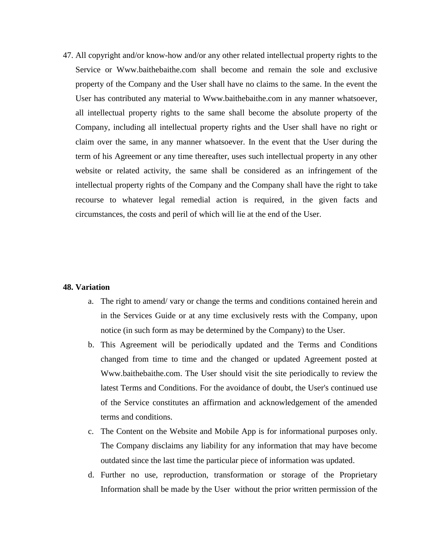47. All copyright and/or know-how and/or any other related intellectual property rights to the Service or Www.baithebaithe.com shall become and remain the sole and exclusive property of the Company and the User shall have no claims to the same. In the event the User has contributed any material to Www.baithebaithe.com in any manner whatsoever, all intellectual property rights to the same shall become the absolute property of the Company, including all intellectual property rights and the User shall have no right or claim over the same, in any manner whatsoever. In the event that the User during the term of his Agreement or any time thereafter, uses such intellectual property in any other website or related activity, the same shall be considered as an infringement of the intellectual property rights of the Company and the Company shall have the right to take recourse to whatever legal remedial action is required, in the given facts and circumstances, the costs and peril of which will lie at the end of the User.

# **48. Variation**

- a. The right to amend/ vary or change the terms and conditions contained herein and in the Services Guide or at any time exclusively rests with the Company, upon notice (in such form as may be determined by the Company) to the User.
- b. This Agreement will be periodically updated and the Terms and Conditions changed from time to time and the changed or updated Agreement posted at Www.baithebaithe.com. The User should visit the site periodically to review the latest Terms and Conditions. For the avoidance of doubt, the User's continued use of the Service constitutes an affirmation and acknowledgement of the amended terms and conditions.
- c. The Content on the Website and Mobile App is for informational purposes only. The Company disclaims any liability for any information that may have become outdated since the last time the particular piece of information was updated.
- d. Further no use, reproduction, transformation or storage of the Proprietary Information shall be made by the User without the prior written permission of the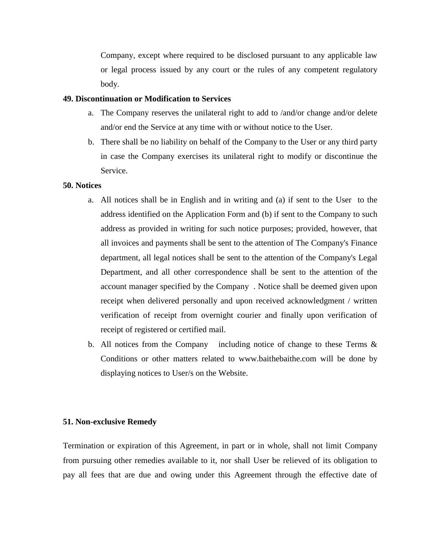Company, except where required to be disclosed pursuant to any applicable law or legal process issued by any court or the rules of any competent regulatory body.

# **49. Discontinuation or Modification to Services**

- a. The Company reserves the unilateral right to add to /and/or change and/or delete and/or end the Service at any time with or without notice to the User.
- b. There shall be no liability on behalf of the Company to the User or any third party in case the Company exercises its unilateral right to modify or discontinue the Service.

# **50. Notices**

- a. All notices shall be in English and in writing and (a) if sent to the User to the address identified on the Application Form and (b) if sent to the Company to such address as provided in writing for such notice purposes; provided, however, that all invoices and payments shall be sent to the attention of The Company's Finance department, all legal notices shall be sent to the attention of the Company's Legal Department, and all other correspondence shall be sent to the attention of the account manager specified by the Company . Notice shall be deemed given upon receipt when delivered personally and upon received acknowledgment / written verification of receipt from overnight courier and finally upon verification of receipt of registered or certified mail.
- b. All notices from the Company including notice of change to these Terms  $\&$ Conditions or other matters related to www.baithebaithe.com will be done by displaying notices to User/s on the Website.

# **51. Non-exclusive Remedy**

Termination or expiration of this Agreement, in part or in whole, shall not limit Company from pursuing other remedies available to it, nor shall User be relieved of its obligation to pay all fees that are due and owing under this Agreement through the effective date of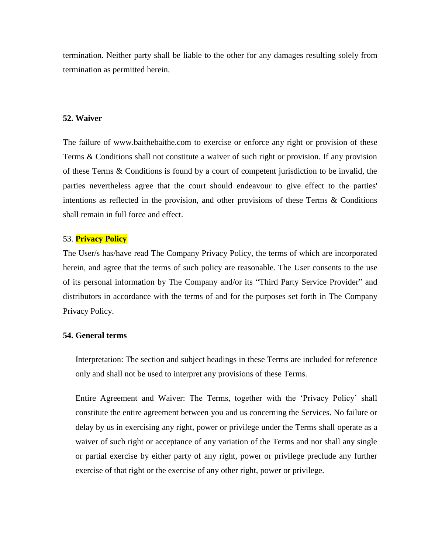termination. Neither party shall be liable to the other for any damages resulting solely from termination as permitted herein.

### **52. Waiver**

The failure of www.baithebaithe.com to exercise or enforce any right or provision of these Terms & Conditions shall not constitute a waiver of such right or provision. If any provision of these Terms & Conditions is found by a court of competent jurisdiction to be invalid, the parties nevertheless agree that the court should endeavour to give effect to the parties' intentions as reflected in the provision, and other provisions of these Terms & Conditions shall remain in full force and effect.

# 53. **Privacy Policy**

The User/s has/have read The Company Privacy Policy, the terms of which are incorporated herein, and agree that the terms of such policy are reasonable. The User consents to the use of its personal information by The Company and/or its "Third Party Service Provider" and distributors in accordance with the terms of and for the purposes set forth in The Company Privacy Policy.

# **54. General terms**

Interpretation: The section and subject headings in these Terms are included for reference only and shall not be used to interpret any provisions of these Terms.

Entire Agreement and Waiver: The Terms, together with the 'Privacy Policy' shall constitute the entire agreement between you and us concerning the Services. No failure or delay by us in exercising any right, power or privilege under the Terms shall operate as a waiver of such right or acceptance of any variation of the Terms and nor shall any single or partial exercise by either party of any right, power or privilege preclude any further exercise of that right or the exercise of any other right, power or privilege.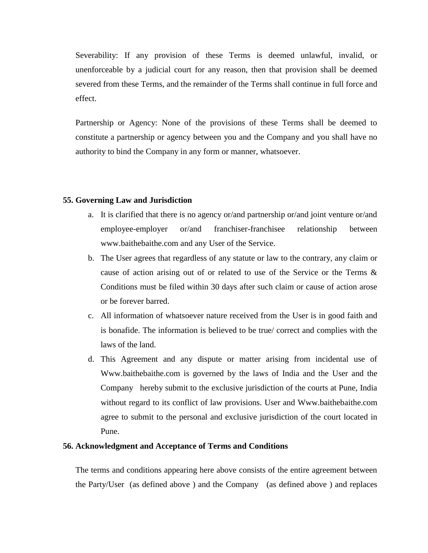Severability: If any provision of these Terms is deemed unlawful, invalid, or unenforceable by a judicial court for any reason, then that provision shall be deemed severed from these Terms, and the remainder of the Terms shall continue in full force and effect.

Partnership or Agency: None of the provisions of these Terms shall be deemed to constitute a partnership or agency between you and the Company and you shall have no authority to bind the Company in any form or manner, whatsoever.

# **55. Governing Law and Jurisdiction**

- a. It is clarified that there is no agency or/and partnership or/and joint venture or/and employee-employer or/and franchiser-franchisee relationship between www.baithebaithe.com and any User of the Service.
- b. The User agrees that regardless of any statute or law to the contrary, any claim or cause of action arising out of or related to use of the Service or the Terms & Conditions must be filed within 30 days after such claim or cause of action arose or be forever barred.
- c. All information of whatsoever nature received from the User is in good faith and is bonafide. The information is believed to be true/ correct and complies with the laws of the land.
- d. This Agreement and any dispute or matter arising from incidental use of Www.baithebaithe.com is governed by the laws of India and the User and the Company hereby submit to the exclusive jurisdiction of the courts at Pune, India without regard to its conflict of law provisions. User and Www.baithebaithe.com agree to submit to the personal and exclusive jurisdiction of the court located in Pune.

### **56. Acknowledgment and Acceptance of Terms and Conditions**

The terms and conditions appearing here above consists of the entire agreement between the Party/User (as defined above ) and the Company (as defined above ) and replaces